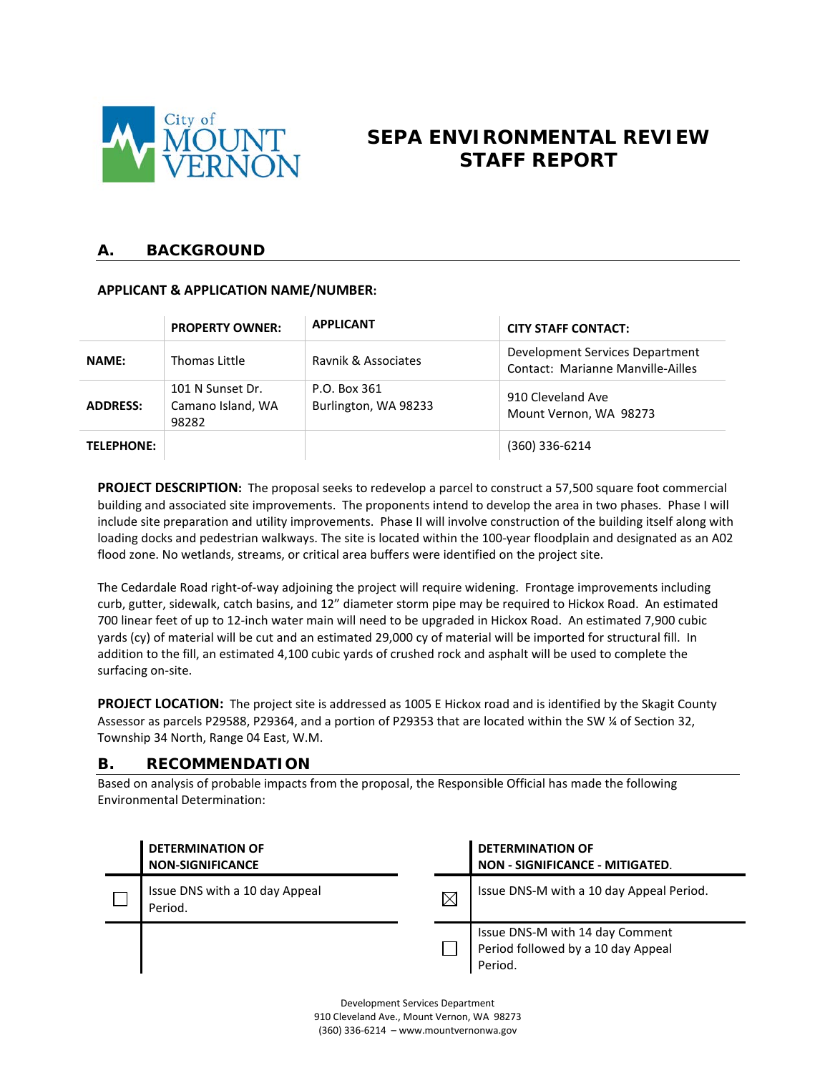

# **SEPA ENVIRONMENTAL REVIEW STAFF REPORT**

### **A. BACKGROUND**

### **APPLICANT & APPLICATION NAME/NUMBER:**

|                   | <b>PROPERTY OWNER:</b>                         | <b>APPLICANT</b>                     | <b>CITY STAFF CONTACT:</b>                                           |
|-------------------|------------------------------------------------|--------------------------------------|----------------------------------------------------------------------|
| <b>NAME:</b>      | Thomas Little                                  | Ravnik & Associates                  | Development Services Department<br>Contact: Marianne Manville-Ailles |
| <b>ADDRESS:</b>   | 101 N Sunset Dr.<br>Camano Island, WA<br>98282 | P.O. Box 361<br>Burlington, WA 98233 | 910 Cleveland Ave<br>Mount Vernon, WA 98273                          |
| <b>TELEPHONE:</b> |                                                |                                      | (360) 336-6214                                                       |

**PROJECT DESCRIPTION:** The proposal seeks to redevelop a parcel to construct a 57,500 square foot commercial building and associated site improvements. The proponents intend to develop the area in two phases. Phase I will include site preparation and utility improvements. Phase II will involve construction of the building itself along with loading docks and pedestrian walkways. The site is located within the 100-year floodplain and designated as an A02 flood zone. No wetlands, streams, or critical area buffers were identified on the project site.

The Cedardale Road right-of-way adjoining the project will require widening. Frontage improvements including curb, gutter, sidewalk, catch basins, and 12" diameter storm pipe may be required to Hickox Road. An estimated 700 linear feet of up to 12-inch water main will need to be upgraded in Hickox Road. An estimated 7,900 cubic yards (cy) of material will be cut and an estimated 29,000 cy of material will be imported for structural fill. In addition to the fill, an estimated 4,100 cubic yards of crushed rock and asphalt will be used to complete the surfacing on-site.

**PROJECT LOCATION:** The project site is addressed as 1005 E Hickox road and is identified by the Skagit County Assessor as parcels P29588, P29364, and a portion of P29353 that are located within the SW ¼ of Section 32, Township 34 North, Range 04 East, W.M.

### **B. RECOMMENDATION**

Based on analysis of probable impacts from the proposal, the Responsible Official has made the following Environmental Determination:

| <b>DETERMINATION OF</b><br><b>NON-SIGNIFICANCE</b> | <b>DETERMINATION OF</b><br>NON - SIGNIFICANCE - MITIGATED.                       |
|----------------------------------------------------|----------------------------------------------------------------------------------|
| Issue DNS with a 10 day Appeal<br>Period.          | Issue DNS-M with a 10 day Appeal Period.                                         |
|                                                    | Issue DNS-M with 14 day Comment<br>Period followed by a 10 day Appeal<br>Period. |

Development Services Department 910 Cleveland Ave., Mount Vernon, WA 98273 (360) 336-6214 – www.mountvernonwa.gov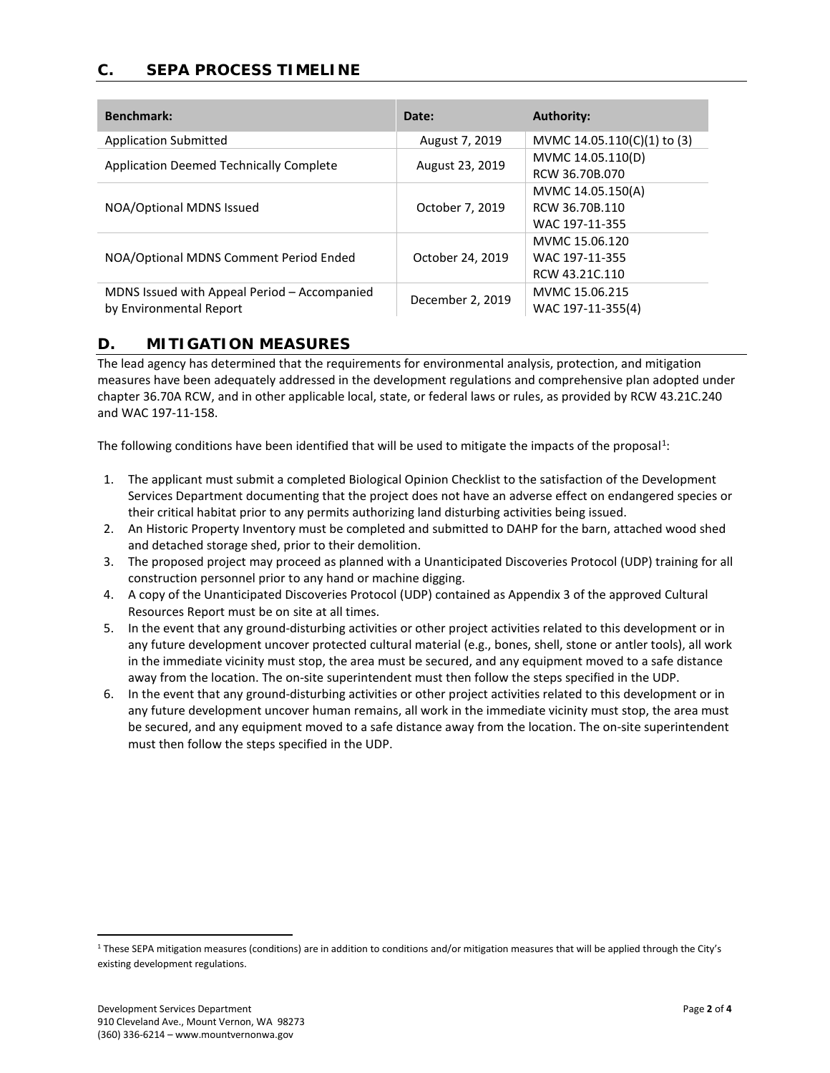# **C. SEPA PROCESS TIMELINE**

| <b>Benchmark:</b>                                                       | Date:            | <b>Authority:</b>                                     |
|-------------------------------------------------------------------------|------------------|-------------------------------------------------------|
| <b>Application Submitted</b>                                            | August 7, 2019   | MVMC 14.05.110(C)(1) to (3)                           |
| <b>Application Deemed Technically Complete</b>                          | August 23, 2019  | MVMC 14.05.110(D)<br>RCW 36.70B.070                   |
| NOA/Optional MDNS Issued                                                | October 7, 2019  | MVMC 14.05.150(A)<br>RCW 36.70B.110<br>WAC 197-11-355 |
| NOA/Optional MDNS Comment Period Ended                                  | October 24, 2019 | MVMC 15.06.120<br>WAC 197-11-355<br>RCW 43.21C.110    |
| MDNS Issued with Appeal Period - Accompanied<br>by Environmental Report | December 2, 2019 | MVMC 15.06.215<br>WAC 197-11-355(4)                   |

### **D. MITIGATION MEASURES**

The lead agency has determined that the requirements for environmental analysis, protection, and mitigation measures have been adequately addressed in the development regulations and comprehensive plan adopted under chapter 36.70A RCW, and in other applicable local, state, or federal laws or rules, as provided by RCW 43.21C.240 and WAC 197-11-158.

The following conditions have been identified that will be used to mitigate the impacts of the proposal<sup>[1](#page-1-0)</sup>:

- 1. The applicant must submit a completed Biological Opinion Checklist to the satisfaction of the Development Services Department documenting that the project does not have an adverse effect on endangered species or their critical habitat prior to any permits authorizing land disturbing activities being issued.
- 2. An Historic Property Inventory must be completed and submitted to DAHP for the barn, attached wood shed and detached storage shed, prior to their demolition.
- 3. The proposed project may proceed as planned with a Unanticipated Discoveries Protocol (UDP) training for all construction personnel prior to any hand or machine digging.
- 4. A copy of the Unanticipated Discoveries Protocol (UDP) contained as Appendix 3 of the approved Cultural Resources Report must be on site at all times.
- 5. In the event that any ground-disturbing activities or other project activities related to this development or in any future development uncover protected cultural material (e.g., bones, shell, stone or antler tools), all work in the immediate vicinity must stop, the area must be secured, and any equipment moved to a safe distance away from the location. The on-site superintendent must then follow the steps specified in the UDP.
- 6. In the event that any ground-disturbing activities or other project activities related to this development or in any future development uncover human remains, all work in the immediate vicinity must stop, the area must be secured, and any equipment moved to a safe distance away from the location. The on-site superintendent must then follow the steps specified in the UDP.

<span id="page-1-0"></span><sup>&</sup>lt;sup>1</sup> These SEPA mitigation measures (conditions) are in addition to conditions and/or mitigation measures that will be applied through the City's existing development regulations.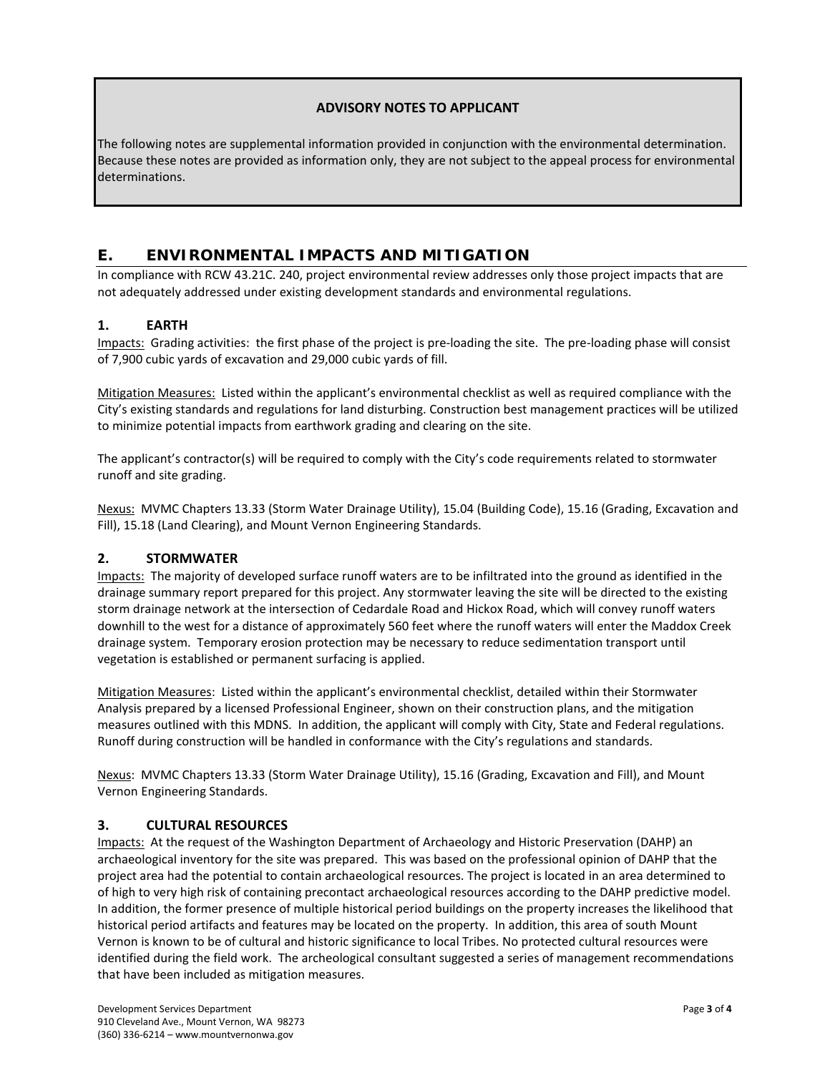### **ADVISORY NOTES TO APPLICANT**

The following notes are supplemental information provided in conjunction with the environmental determination. Because these notes are provided as information only, they are not subject to the appeal process for environmental determinations.

# **E. ENVIRONMENTAL IMPACTS AND MITIGATION**

In compliance with RCW 43.21C. 240, project environmental review addresses only those project impacts that are not adequately addressed under existing development standards and environmental regulations.

### **1. EARTH**

Impacts: Grading activities: the first phase of the project is pre-loading the site. The pre-loading phase will consist of 7,900 cubic yards of excavation and 29,000 cubic yards of fill.

Mitigation Measures: Listed within the applicant's environmental checklist as well as required compliance with the City's existing standards and regulations for land disturbing. Construction best management practices will be utilized to minimize potential impacts from earthwork grading and clearing on the site.

The applicant's contractor(s) will be required to comply with the City's code requirements related to stormwater runoff and site grading.

Nexus: MVMC Chapters 13.33 (Storm Water Drainage Utility), 15.04 (Building Code), 15.16 (Grading, Excavation and Fill), 15.18 (Land Clearing), and Mount Vernon Engineering Standards.

### **2. STORMWATER**

Impacts: The majority of developed surface runoff waters are to be infiltrated into the ground as identified in the drainage summary report prepared for this project. Any stormwater leaving the site will be directed to the existing storm drainage network at the intersection of Cedardale Road and Hickox Road, which will convey runoff waters downhill to the west for a distance of approximately 560 feet where the runoff waters will enter the Maddox Creek drainage system. Temporary erosion protection may be necessary to reduce sedimentation transport until vegetation is established or permanent surfacing is applied.

Mitigation Measures: Listed within the applicant's environmental checklist, detailed within their Stormwater Analysis prepared by a licensed Professional Engineer, shown on their construction plans, and the mitigation measures outlined with this MDNS. In addition, the applicant will comply with City, State and Federal regulations. Runoff during construction will be handled in conformance with the City's regulations and standards.

Nexus: MVMC Chapters 13.33 (Storm Water Drainage Utility), 15.16 (Grading, Excavation and Fill), and Mount Vernon Engineering Standards.

### **3. CULTURAL RESOURCES**

Impacts: At the request of the Washington Department of Archaeology and Historic Preservation (DAHP) an archaeological inventory for the site was prepared. This was based on the professional opinion of DAHP that the project area had the potential to contain archaeological resources. The project is located in an area determined to of high to very high risk of containing precontact archaeological resources according to the DAHP predictive model. In addition, the former presence of multiple historical period buildings on the property increases the likelihood that historical period artifacts and features may be located on the property. In addition, this area of south Mount Vernon is known to be of cultural and historic significance to local Tribes. No protected cultural resources were identified during the field work. The archeological consultant suggested a series of management recommendations that have been included as mitigation measures.